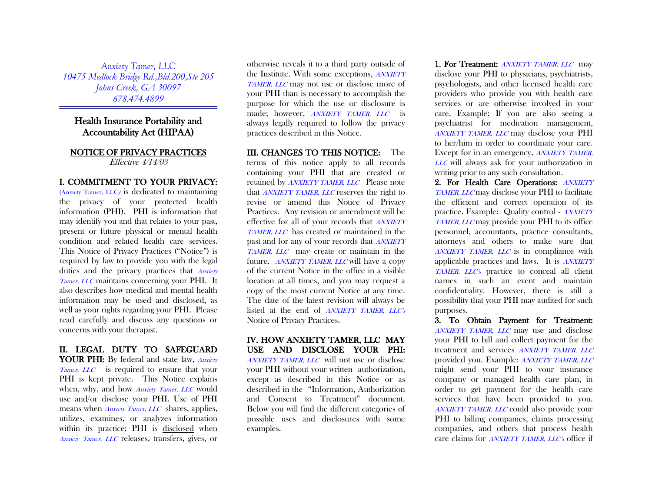*Anxiety Tamer, LLC 10475 Medlock Bridge Rd.,Bld.200,Ste 205 Johns Creek, GA 30097 678.474.4899*

# Health Insurance Portability and Accountability Act (HIPAA)

#### NOTICE OF PRIVACY PRACTICES Effective 4/14/03

#### I. COMMITMENT TO YOUR PRIVACY:

(Anxiety Tamer, LLC) is dedicated to maintaining the privacy of your protected health information (PHI). PHI is information that may identify you and that relates to your past, present or future physical or mental health condition and related health care services. This Notice of Privacy Practices ("Notice") is required by law to provide you with the legal duties and the privacy practices that Anxiety Tamer, LLC maintains concerning your PHI. It also describes how medical and mental health information may be used and disclosed, as well as your rights regarding your PHI. Please read carefully and discuss any questions or concerns with your therapist.

# II. LEGAL DUTY TO SAFEGUARD YOUR PHI: By federal and state law, Anxiety Tamer, LLC is required to ensure that your PHI is kept private. This Notice explains when, why, and how *Anxiety Tamer*, *LLC* would use and/or disclose your PHI. Use of PHI means when *Anxiety Tamer*, *LLC* shares, applies, utilizes, examines, or analyzes information within its practice; PHI is disclosed when Anxiety Tamer, LLC releases, transfers, gives, or

otherwise reveals it to a third party outside of the Institute. With some exceptions, ANXIETY TAMER, LLC may not use or disclose more of your PHI than is necessary to accomplish the purpose for which the use or disclosure is made; however, *ANXIETY TAMER*, *LLC* is always legally required to follow the privacy practices described in this Notice.

III. CHANGES TO THIS NOTICE: The terms of this notice apply to all records containing your PHI that are created or retained by ANXIETY TAMER, LLC Please note that ANXIETY TAMER, LLC reserves the right to revise or amend this Notice of Privacy Practices. Any revision or amendment will be effective for all of your records that ANXIETY TAMER, LLC has created or maintained in the past and for any of your records that ANXIETY TAMER, LLC may create or maintain in the future. *ANXIETY TAMER, LLC* will have a copy of the current Notice in the office in a visible location at all times, and you may request a copy of the most current Notice at any time. The date of the latest revision will always be listed at the end of *ANXIETY TAMER*, *LLC's* Notice of Privacy Practices.

# IV. HOW ANXIETY TAMER, LLC MAY USE AND DISCLOSE YOUR PHI: ANXIETY TAMER, LLC will not use or disclose

your PHI without your written authorization, except as described in this Notice or as described in the "Information, Authorization and Consent to Treatment" document. Below you will find the different categories of possible uses and disclosures with some examples.

1. For Treatment: **ANXIETY TAMER, LLC** may disclose your PHI to physicians, psychiatrists, psychologists, and other licensed health care providers who provide you with health care services or are otherwise involved in your care. Example: If you are also seeing a psychiatrist for medication management, ANXIETY TAMER, LLC may disclose your PHI to her/him in order to coordinate your care. Except for in an emergency, *ANXIETY TAMER*, LLC will always ask for your authorization in writing prior to any such consultation.

2. For Health Care Operations: ANXIETY TAMER, LLC may disclose your PHI to facilitate the efficient and correct operation of its practice. Example: Quality control - ANXIETY TAMER, LLC may provide your PHI to its office personnel, accountants, practice consultants, attorneys and others to make sure that ANXIETY TAMER, LLC is in compliance with applicable practices and laws. It is *ANXIETY* TAMER, LLC's practice to conceal all client names in such an event and maintain confidentiality. However, there is still a possibility that your PHI may audited for such purposes.

3. To Obtain Payment for Treatment: ANXIETY TAMER, LLC may use and disclose your PHI to bill and collect payment for the treatment and services ANXIETY TAMER, LLC provided you. Example: ANXIETY TAMER, LLC might send your PHI to your insurance company or managed health care plan, in order to get payment for the health care services that have been provided to you. ANXIETY TAMER, LLC could also provide your PHI to billing companies, claims processing companies, and others that process health care claims for *ANXIETY TAMER, LLC's* office if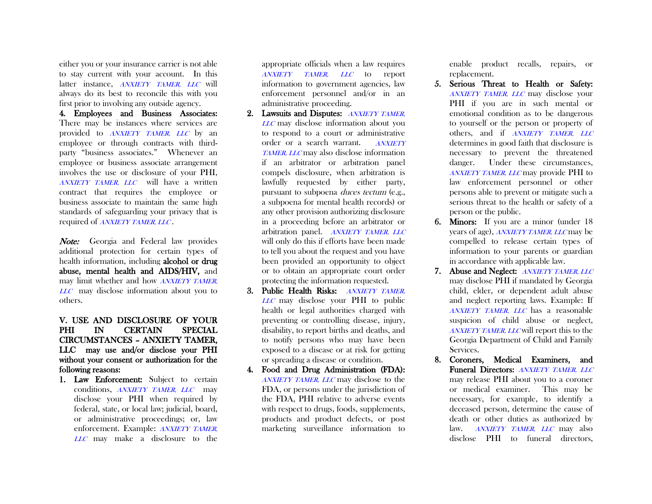either you or your insurance carrier is not able to stay current with your account. In this latter instance. ANXIETY TAMER, LLC will always do its best to reconcile this with you first prior to involving any outside agency.

4. Employees and Business Associates: There may be instances where services are provided to ANXIETY TAMER, LLC by an employee or through contracts with thirdparty "business associates." Whenever an employee or business associate arrangement involves the use or disclosure of your PHI, ANXIETY TAMER, LLC will have a written contract that requires the employee or business associate to maintain the same high standards of safeguarding your privacy that is required of ANXIETY TAMER, LLC.

Note: Georgia and Federal law provides additional protection for certain types of health information, including alcohol or drug abuse, mental health and AIDS/HIV, and may limit whether and how *ANXIETY TAMER*, LLC may disclose information about you to others.

# V. USE AND DISCLOSURE OF YOUR PHI IN CERTAIN SPECIAL CIRCUMSTANCES – ANXIETY TAMER, LLC may use and/or disclose your PHI without your consent or authorization for the following reasons:

1. Law Enforcement: Subject to certain conditions, *ANXIETY TAMER*, *LLC* may disclose your PHI when required by federal, state, or local law; judicial, board, or administrative proceedings; or, law enforcement. Example: ANXIETY TAMER, LLC may make a disclosure to the

appropriate officials when a law requires ANXIETY TAMER, LLC to report information to government agencies, law enforcement personnel and/or in an administrative proceeding.

- 2. Lawsuits and Disputes: ANXIETY TAMER, LLC may disclose information about you to respond to a court or administrative order or a search warrant. ANXIETY TAMER, LLC may also disclose information if an arbitrator or arbitration panel compels disclosure, when arbitration is lawfully requested by either party, pursuant to subpoena duces tectum (e.g., a subpoena for mental health records) or any other provision authorizing disclosure in a proceeding before an arbitrator or arbitration panel. ANXIETY TAMER, LLC will only do this if efforts have been made to tell you about the request and you have been provided an opportunity to object or to obtain an appropriate court order protecting the information requested.
- 3. Public Health Risks: ANXIETY TAMER, LLC may disclose your PHI to public health or legal authorities charged with preventing or controlling disease, injury, disability, to report births and deaths, and to notify persons who may have been exposed to a disease or at risk for getting or spreading a disease or condition.
- 4. Food and Drug Administration (FDA): ANXIETY TAMER, LLC may disclose to the FDA, or persons under the jurisdiction of the FDA, PHI relative to adverse events with respect to drugs, foods, supplements, products and product defects, or post marketing surveillance information to

enable product recalls, repairs, or replacement.

- 5. Serious Threat to Health or Safety: ANXIETY TAMER, LLC may disclose your PHI if you are in such mental or emotional condition as to be dangerous to yourself or the person or property of others, and if ANXIETY TAMER, LLC determines in good faith that disclosure is necessary to prevent the threatened danger. Under these circumstances, ANXIETY TAMER, LLC may provide PHI to law enforcement personnel or other persons able to prevent or mitigate such a serious threat to the health or safety of a person or the public.
- 6. Minors: If you are a minor (under 18 years of age), ANXIETY TAMER, LLC may be compelled to release certain types of information to your parents or guardian in accordance with applicable law.
- 7. Abuse and Neglect: ANXIETY TAMER, LLC may disclose PHI if mandated by Georgia child, elder, or dependent adult abuse and neglect reporting laws. Example: If ANXIETY TAMER, LLC has a reasonable suspicion of child abuse or neglect, ANXIETY TAMER, LLC will report this to the Georgia Department of Child and Family Services.
- 8. Coroners, Medical Examiners, and Funeral Directors: ANXIETY TAMER, LLC may release PHI about you to a coroner or medical examiner. This may be necessary, for example, to identify a deceased person, determine the cause of death or other duties as authorized by law. ANXIETY TAMER, LLC may also disclose PHI to funeral directors,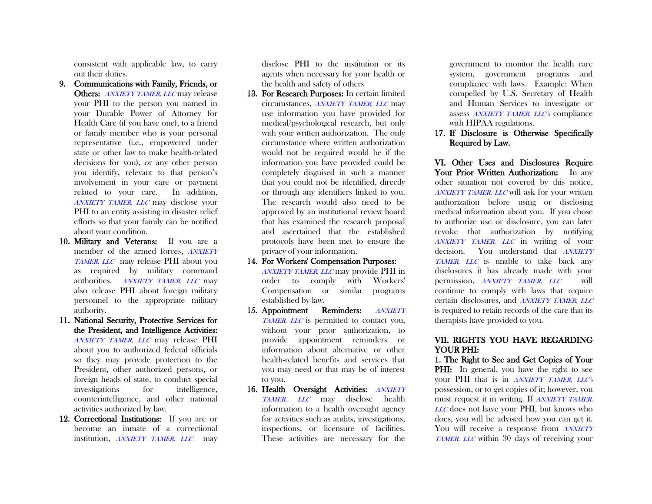consistent with applicable law, to carry out their duties.

- 9. Communications with Family, Friends, or Others: ANXIETY TAMER, LLC may release your PHI to the person you named in your Durable Power of Attorney for Health Care (if you have one), to a friend or family member who is your personal representative (i.e., empowered under state or other law to make health-related decisions for you), or any other person you identify, relevant to that person's involvement in your care or payment related to your care. In addition, ANXIETY TAMER, LLC may disclose your PHI to an entity assisting in disaster relief efforts so that your family can be notified about your condition.
- 10. Military and Veterans: If you are a member of the armed forces, ANXIETY TAMER, LLC may release PHI about you as required by military command authorities. ANXIETY TAMER, LLC may also release PHI about foreign military personnel to the appropriate military authority.
- 11. National Security, Protective Services for the President, and Intelligence Activities: ANXIETY TAMER, LLC may release PHI about you to authorized federal officials so they may provide protection to the President, other authorized persons, or foreign heads of state, to conduct special investigations for intelligence, counterintelligence, and other national activities authorized by law.
- 12. Correctional Institutions: If you are or become an inmate of a correctional institution, *ANXIETY TAMER*, *LLC* may

disclose PHI to the institution or its agents when necessary for your health or the health and safety of others

- 13. For Research Purposes: In certain limited circumstances, ANXIETY TAMER, LLC may use information you have provided for medical/psychological research, but only with your written authorization. The only circumstance where written authorization would not be required would be if the information you have provided could be completely disguised in such a manner that you could not be identified, directly or through any identifiers linked to you. The research would also need to be approved by an institutional review board that has examined the research proposal and ascertained that the established protocols have been met to ensure the privacy of your information.
- 14. For Workers' Compensation Purposes: ANXIETY TAMER, LLC may provide PHI in order to comply with Workers' Compensation or similar programs established by law.
- 15. Appointment Reminders: ANXIETY TAMER, LLC is permitted to contact you, without your prior authorization, to provide appointment reminders or information about alternative or other health-related benefits and services that you may need or that may be of interest to you.
- 16. Health Oversight Activities: ANXIETY TAMER, LLC may disclose health information to a health oversight agency for activities such as audits, investigations, inspections, or licensure of facilities. These activities are necessary for the

government to monitor the health care system, government programs and compliance with laws. Example: When compelled by U.S. Secretary of Health and Human Services to investigate or assess ANXIETY TAMER, LLC's compliance with HIPAA regulations.

# 17. If Disclosure is Otherwise Specifically Required by Law.

VI. Other Uses and Disclosures Require Your Prior Written Authorization: In any other situation not covered by this notice, ANXIETY TAMER, LLC will ask for your written authorization before using or disclosing medical information about you. If you chose to authorize use or disclosure, you can later revoke that authorization by notifying ANXIETY TAMER, LLC in writing of your decision. You understand that **ANXIETY** TAMER, LLC is unable to take back any disclosures it has already made with your permission, *ANXIETY TAMER*, *LLC* will continue to comply with laws that require certain disclosures, and ANXIETY TAMER, LLC is required to retain records of the care that its therapists have provided to you.

# VII. RIGHTS YOU HAVE REGARDING YOUR PHI:

1. The Right to See and Get Copies of Your PHI: In general, you have the right to see your PHI that is in *ANXIETY TAMER, LLC's* possession, or to get copies of it; however, you must request it in writing. If ANXIETY TAMER, LLC does not have your PHI, but knows who does, you will be advised how you can get it. You will receive a response from ANXIETY TAMER, LLC within 30 days of receiving your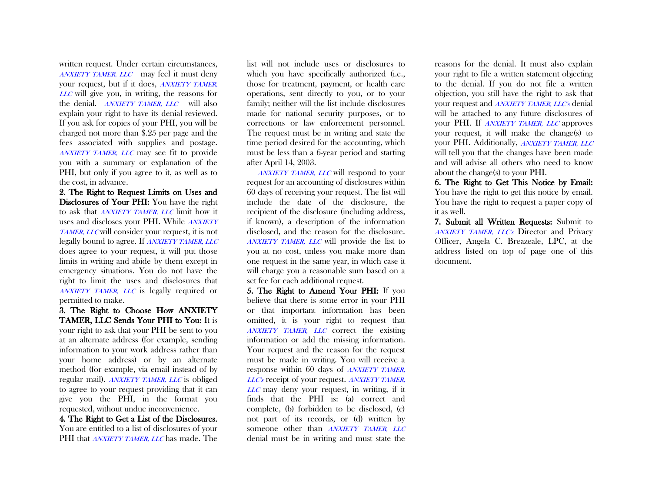written request. Under certain circumstances, ANXIETY TAMER, LLC may feel it must deny your request, but if it does, ANXIETY TAMER, LLC will give you, in writing, the reasons for the denial. ANXIETY TAMER, LLC will also explain your right to have its denial reviewed. If you ask for copies of your PHI, you will be charged not more than \$.25 per page and the fees associated with supplies and postage. ANXIETY TAMER, LLC may see fit to provide you with a summary or explanation of the PHI, but only if you agree to it, as well as to the cost, in advance.

2. The Right to Request Limits on Uses and Disclosures of Your PHI: You have the right to ask that **ANXIETY TAMER**, LLC limit how it uses and discloses your PHI. While **ANXIETY** TAMER, LLC will consider your request, it is not legally bound to agree. If ANXIETY TAMER, LLC does agree to your request, it will put those limits in writing and abide by them except in emergency situations. You do not have the right to limit the uses and disclosures that ANXIETY TAMER, LLC is legally required or permitted to make.

3. The Right to Choose How ANXIETY TAMER, LLC Sends Your PHI to You: It is your right to ask that your PHI be sent to you at an alternate address (for example, sending information to your work address rather than your home address) or by an alternate method (for example, via email instead of by regular mail). ANXIETY TAMER, LLC is obliged to agree to your request providing that it can give you the PHI, in the format you requested, without undue inconvenience.

4. The Right to Get a List of the Disclosures. You are entitled to a list of disclosures of your PHI that *ANXIETY TAMER, LLC* has made. The

list will not include uses or disclosures to which you have specifically authorized (i.e., those for treatment, payment, or health care operations, sent directly to you, or to your family; neither will the list include disclosures made for national security purposes, or to corrections or law enforcement personnel. The request must be in writing and state the time period desired for the accounting, which must be less than a 6-year period and starting after April 14, 2003.

 ANXIETY TAMER, LLC will respond to your request for an accounting of disclosures within 60 days of receiving your request. The list will include the date of the disclosure, the recipient of the disclosure (including address, if known), a description of the information disclosed, and the reason for the disclosure. ANXIETY TAMER, LLC will provide the list to you at no cost, unless you make more than one request in the same year, in which case it will charge you a reasonable sum based on a set fee for each additional request.

5. The Right to Amend Your PHI: If you believe that there is some error in your PHI or that important information has been omitted, it is your right to request that ANXIETY TAMER, LLC correct the existing information or add the missing information. Your request and the reason for the request must be made in writing. You will receive a response within 60 days of ANXIETY TAMER, LLC's receipt of your request. ANXIETY TAMER, LLC may deny your request, in writing, if it finds that the PHI is: (a) correct and complete, (b) forbidden to be disclosed, (c) not part of its records, or (d) written by someone other than ANXIETY TAMER, LLC denial must be in writing and must state the

reasons for the denial. It must also explain your right to file a written statement objecting to the denial. If you do not file a written objection, you still have the right to ask that your request and **ANXIETY TAMER**, LLC's denial will be attached to any future disclosures of your PHI. If ANXIETY TAMER, LLC approves your request, it will make the change(s) to your PHI. Additionally, ANXIETY TAMER, LLC will tell you that the changes have been made and will advise all others who need to know about the change(s) to your PHI.

6. The Right to Get This Notice by Email: You have the right to get this notice by email. You have the right to request a paper copy of it as well.

7. Submit all Written Requests: Submit to ANXIETY TAMER, LLC's Director and Privacy Officer, Angela C. Breazeale, LPC, at the address listed on top of page one of this document.